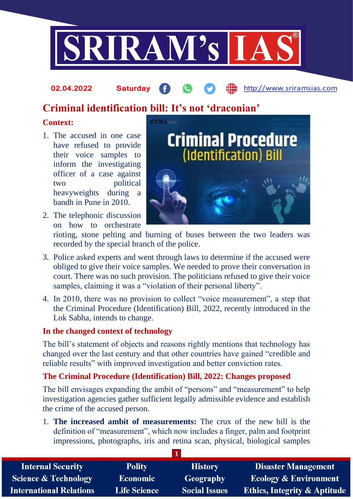

#### http://www.sriramsias.com **02.04.2022 Saturday**

# **Criminal identification bill: It's not 'draconian'**

# **Context:**

- 1. The accused in one case have refused to provide their voice samples to inform the investigating officer of a case against two political heavyweights during a bandh in Pune in 2010.
- 2. The telephonic discussion on how to orchestrate



rioting, stone pelting and burning of buses between the two leaders was recorded by the special branch of the police.

- 3. Police asked experts and went through laws to determine if the accused were obliged to give their voice samples. We needed to prove their conversation in court. There was no such provision. The politicians refused to give their voice samples, claiming it was a "violation of their personal liberty".
- 4. In 2010, there was no provision to collect "voice measurement", a step that the Criminal Procedure (Identification) Bill, 2022, recently introduced in the Lok Sabha, intends to change.

# **In the changed context of technology**

The bill's statement of objects and reasons rightly mentions that technology has changed over the last century and that other countries have gained "credible and reliable results" with improved investigation and better conviction rates.

# **The Criminal Procedure (Identification) Bill, 2022: Changes proposed**

The bill envisages expanding the ambit of "persons" and "measurement" to help investigation agencies gather sufficient legally admissible evidence and establish the crime of the accused person.

1. **The increased ambit of measurements:** The crux of the new bill is the definition of "measurement", which now includes a finger, palm and footprint impressions, photographs, iris and retina scan, physical, biological samples

| <b>Internal Security</b>        | <b>Polity</b>       | <b>History</b>       | <b>Disaster Management</b>              |
|---------------------------------|---------------------|----------------------|-----------------------------------------|
| <b>Science &amp; Technology</b> | <b>Economic</b>     | Geography            | <b>Ecology &amp; Environment</b>        |
| <b>International Relations</b>  | <b>Life Science</b> | <b>Social Issues</b> | <b>Ethics, Integrity &amp; Aptitude</b> |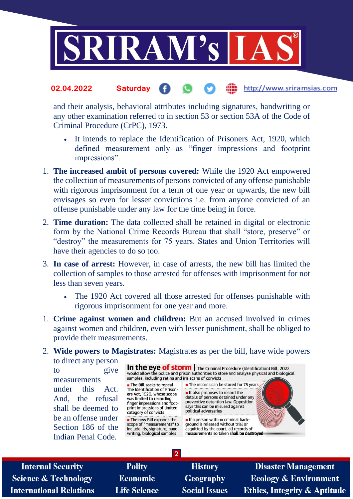

#### http://www.sriramsias.com **02.04.2022 Saturday**

and their analysis, behavioral attributes including signatures, handwriting or any other examination referred to in section 53 or section 53A of the Code of Criminal Procedure (CrPC), 1973.

- It intends to replace the Identification of Prisoners Act, 1920, which defined measurement only as "finger impressions and footprint impressions".
- 1. **The increased ambit of persons covered:** While the 1920 Act empowered the collection of measurements of persons convicted of any offense punishable with rigorous imprisonment for a term of one year or upwards, the new bill envisages so even for lesser convictions i.e. from anyone convicted of an offense punishable under any law for the time being in force.
- 2. **Time duration:** The data collected shall be retained in digital or electronic form by the National Crime Records Bureau that shall "store, preserve" or "destroy" the measurements for 75 years. States and Union Territories will have their agencies to do so too.
- 3. **In case of arrest:** However, in case of arrests, the new bill has limited the collection of samples to those arrested for offenses with imprisonment for not less than seven years.
	- The 1920 Act covered all those arrested for offenses punishable with rigorous imprisonment for one year and more.
- 1. **Crime against women and children:** But an accused involved in crimes against women and children, even with lesser punishment, shall be obliged to provide their measurements.

### 2. **Wide powers to Magistrates:** Magistrates as per the bill, have wide powers to direct any person

**2**

to give measurements under this Act. And, the refusal shall be deemed to be an offense under Section 186 of the Indian Penal Code.

In the eye of storm | The Criminal Procedure (Identification) Bill, 2022<br>would allow the police and prison authorities to store and analyse physical and biological<br>samples including retina and discorpe of convicts samples, including retina and iris scans of convicts

The Bill seeks to repeal The Identification of Prisoners Act, 1920, whose scope was limited to recording<br>finger impressions and footprint impressions of limited category of convicts

 $\blacksquare$  The new Bill expands the scope of "measurements" to include iris, signature, handwriting, biological samples

It also proposes to record the details of persons detained under any preventive detention law. Opposition says this can be misused against political adversaries

The records can be stored for 75 years

If a person with no criminal background is released without trial or acquitted by the court, all records of measurements so taken shall be destroyed

**Internal Security Science & Technology International Relations** 

**Polity Economic Life Science** 

**History Geography Social Issues** 

**Disaster Management Ecology & Environment Ethics, Integrity & Aptitude**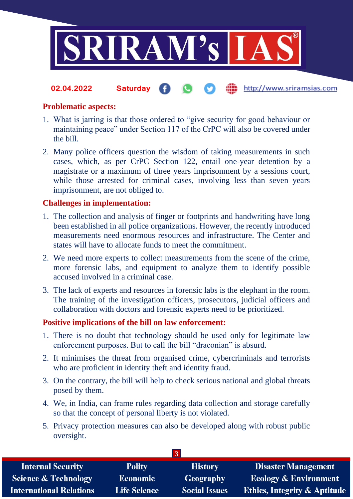

#### **fin** http://www.sriramsias.com **02.04.2022 Saturday**

## **Problematic aspects:**

- 1. What is jarring is that those ordered to "give security for good behaviour or maintaining peace" under Section 117 of the CrPC will also be covered under the bill.
- 2. Many police officers question the wisdom of taking measurements in such cases, which, as per CrPC Section 122, entail one-year detention by a magistrate or a maximum of three years imprisonment by a sessions court, while those arrested for criminal cases, involving less than seven years imprisonment, are not obliged to.

## **Challenges in implementation:**

- 1. The collection and analysis of finger or footprints and handwriting have long been established in all police organizations. However, the recently introduced measurements need enormous resources and infrastructure. The Center and states will have to allocate funds to meet the commitment.
- 2. We need more experts to collect measurements from the scene of the crime, more forensic labs, and equipment to analyze them to identify possible accused involved in a criminal case.
- 3. The lack of experts and resources in forensic labs is the elephant in the room. The training of the investigation officers, prosecutors, judicial officers and collaboration with doctors and forensic experts need to be prioritized.

### **Positive implications of the bill on law enforcement:**

- 1. There is no doubt that technology should be used only for legitimate law enforcement purposes. But to call the bill "draconian" is absurd.
- 2. It minimises the threat from organised crime, cybercriminals and terrorists who are proficient in identity theft and identity fraud.
- 3. On the contrary, the bill will help to check serious national and global threats posed by them.
- 4. We, in India, can frame rules regarding data collection and storage carefully so that the concept of personal liberty is not violated.
- 5. Privacy protection measures can also be developed along with robust public oversight.

| <b>Internal Security</b>        | <b>Polity</b>       | <b>History</b>       | Disaster Management                     |
|---------------------------------|---------------------|----------------------|-----------------------------------------|
| <b>Science &amp; Technology</b> | <b>Economic</b>     | Geography            | <b>Ecology &amp; Environment</b>        |
| <b>International Relations</b>  | <b>Life Science</b> | <b>Social Issues</b> | <b>Ethics, Integrity &amp; Aptitude</b> |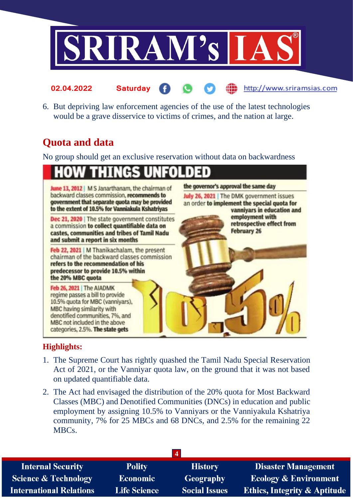

6. But depriving law enforcement agencies of the use of the latest technologies would be a grave disservice to victims of crimes, and the nation at large.

http://www.sriramsias.com

# **Quota and data**

**02.04.2022 Saturday**

No group should get an exclusive reservation without data on backwardness

### P n so



# **Highlights:**

- 1. The Supreme Court has rightly quashed the Tamil Nadu Special Reservation Act of 2021, or the Vanniyar quota law, on the ground that it was not based on updated quantifiable data.
- 2. The Act had envisaged the distribution of the 20% quota for Most Backward Classes (MBC) and Denotified Communities (DNCs) in education and public employment by assigning 10.5% to Vanniyars or the Vanniyakula Kshatriya community, 7% for 25 MBCs and 68 DNCs, and 2.5% for the remaining 22 MBCs.

| $\overline{4}$                  |                     |                      |                                         |
|---------------------------------|---------------------|----------------------|-----------------------------------------|
| <b>Internal Security</b>        | <b>Polity</b>       | <b>History</b>       | <b>Disaster Management</b>              |
| <b>Science &amp; Technology</b> | <b>Economic</b>     | <b>Geography</b>     | <b>Ecology &amp; Environment</b>        |
| <b>International Relations</b>  | <b>Life Science</b> | <b>Social Issues</b> | <b>Ethics, Integrity &amp; Aptitude</b> |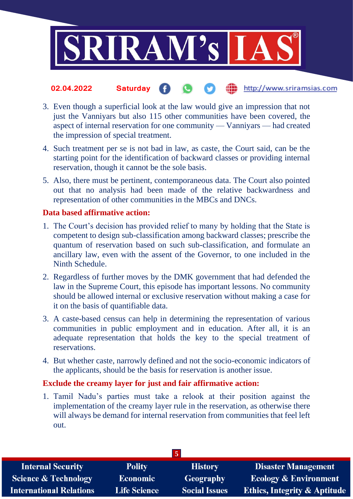

#### the http://www.sriramsias.com **02.04.2022 Saturday**

- 3. Even though a superficial look at the law would give an impression that not just the Vanniyars but also 115 other communities have been covered, the aspect of internal reservation for one community — Vanniyars — had created the impression of special treatment.
- 4. Such treatment per se is not bad in law, as caste, the Court said, can be the starting point for the identification of backward classes or providing internal reservation, though it cannot be the sole basis.
- 5. Also, there must be pertinent, contemporaneous data. The Court also pointed out that no analysis had been made of the relative backwardness and representation of other communities in the MBCs and DNCs.

### **Data based affirmative action:**

- 1. The Court's decision has provided relief to many by holding that the State is competent to design sub-classification among backward classes; prescribe the quantum of reservation based on such sub-classification, and formulate an ancillary law, even with the assent of the Governor, to one included in the Ninth Schedule.
- 2. Regardless of further moves by the DMK government that had defended the law in the Supreme Court, this episode has important lessons. No community should be allowed internal or exclusive reservation without making a case for it on the basis of quantifiable data.
- 3. A caste-based census can help in determining the representation of various communities in public employment and in education. After all, it is an adequate representation that holds the key to the special treatment of reservations.
- 4. But whether caste, narrowly defined and not the socio-economic indicators of the applicants, should be the basis for reservation is another issue.

### **Exclude the creamy layer for just and fair affirmative action:**

1. Tamil Nadu's parties must take a relook at their position against the implementation of the creamy layer rule in the reservation, as otherwise there will always be demand for internal reservation from communities that feel left out.

| $\overline{5}$                  |                     |                      |                                         |
|---------------------------------|---------------------|----------------------|-----------------------------------------|
| <b>Internal Security</b>        | <b>Polity</b>       | <b>History</b>       | <b>Disaster Management</b>              |
| <b>Science &amp; Technology</b> | <b>Economic</b>     | <b>Geography</b>     | <b>Ecology &amp; Environment</b>        |
| <b>International Relations</b>  | <b>Life Science</b> | <b>Social Issues</b> | <b>Ethics, Integrity &amp; Aptitude</b> |